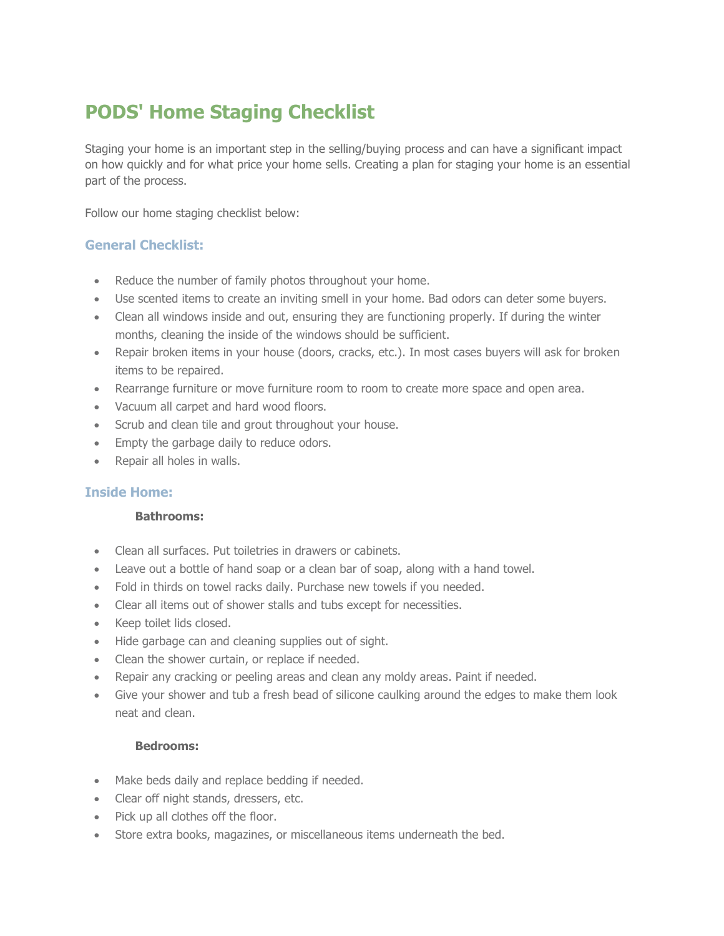# **PODS' Home Staging Checklist**

Staging your home is an important step in the selling/buying process and can have a significant impact on how quickly and for what price your home sells. Creating a plan for staging your home is an essential part of the process.

Follow our home staging checklist below:

## **General Checklist:**

- Reduce the number of family photos throughout your home.
- Use scented items to create an inviting smell in your home. Bad odors can deter some buyers.
- Clean all windows inside and out, ensuring they are functioning properly. If during the winter months, cleaning the inside of the windows should be sufficient.
- Repair broken items in your house (doors, cracks, etc.). In most cases buyers will ask for broken items to be repaired.
- Rearrange furniture or move furniture room to room to create more space and open area.
- Vacuum all carpet and hard wood floors.
- Scrub and clean tile and grout throughout your house.
- Empty the garbage daily to reduce odors.
- Repair all holes in walls.

## **Inside Home:**

## **Bathrooms:**

- Clean all surfaces. Put toiletries in drawers or cabinets.
- Leave out a bottle of hand soap or a clean bar of soap, along with a hand towel.
- Fold in thirds on towel racks daily. Purchase new towels if you needed.
- Clear all items out of shower stalls and tubs except for necessities.
- Keep toilet lids closed.
- Hide garbage can and cleaning supplies out of sight.
- Clean the shower curtain, or replace if needed.
- Repair any cracking or peeling areas and clean any moldy areas. Paint if needed.
- Give your shower and tub a fresh bead of silicone caulking around the edges to make them look neat and clean.

## **Bedrooms:**

- Make beds daily and replace bedding if needed.
- Clear off night stands, dressers, etc.
- Pick up all clothes off the floor.
- Store extra books, magazines, or miscellaneous items underneath the bed.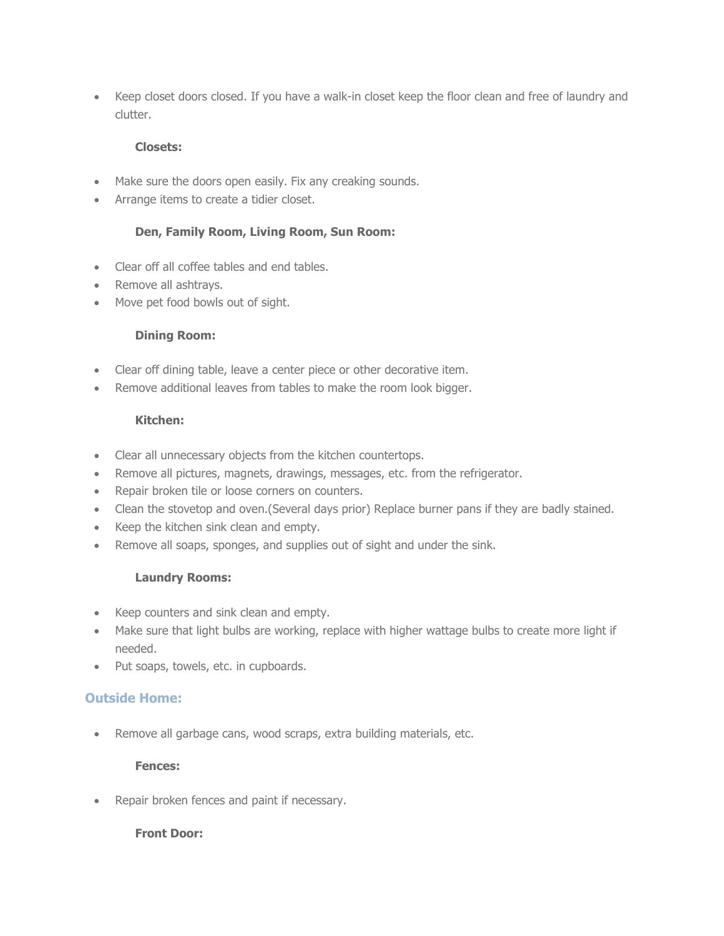Keep closet doors closed. If you have a walk-in closet keep the floor clean and free of laundry and clutter.

## **Closets:**

- Make sure the doors open easily. Fix any creaking sounds.
- Arrange items to create a tidier closet.

## **Den, Family Room, Living Room, Sun Room:**

- Clear off all coffee tables and end tables.
- Remove all ashtrays.
- Move pet food bowls out of sight.

## **Dining Room:**

- Clear off dining table, leave a center piece or other decorative item.
- Remove additional leaves from tables to make the room look bigger.

## **Kitchen:**

- Clear all unnecessary objects from the kitchen countertops.
- Remove all pictures, magnets, drawings, messages, etc. from the refrigerator.
- Repair broken tile or loose corners on counters.
- Clean the stovetop and oven.(Several days prior) Replace burner pans if they are badly stained.
- Keep the kitchen sink clean and empty.
- Remove all soaps, sponges, and supplies out of sight and under the sink.

## **Laundry Rooms:**

- Keep counters and sink clean and empty.
- Make sure that light bulbs are working, replace with higher wattage bulbs to create more light if needed.
- Put soaps, towels, etc. in cupboards.

## **Outside Home:**

Remove all garbage cans, wood scraps, extra building materials, etc.

## **Fences:**

Repair broken fences and paint if necessary.

## **Front Door:**